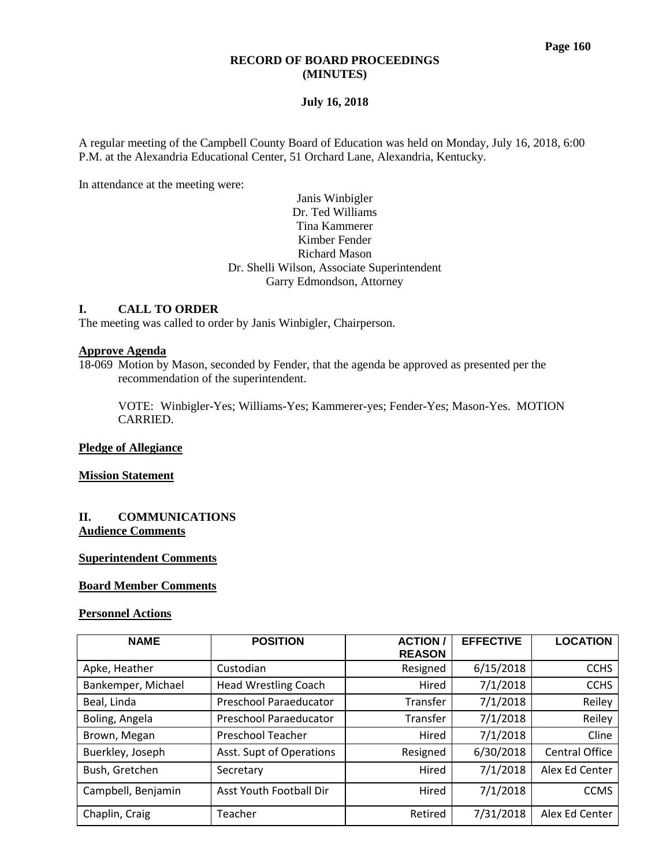#### **RECORD OF BOARD PROCEEDINGS (MINUTES)**

### **July 16, 2018**

A regular meeting of the Campbell County Board of Education was held on Monday, July 16, 2018, 6:00 P.M. at the Alexandria Educational Center, 51 Orchard Lane, Alexandria, Kentucky.

In attendance at the meeting were:

## Janis Winbigler Dr. Ted Williams Tina Kammerer Kimber Fender Richard Mason Dr. Shelli Wilson, Associate Superintendent Garry Edmondson, Attorney

### **I. CALL TO ORDER**

The meeting was called to order by Janis Winbigler, Chairperson.

# **Approve Agenda**

18-069 Motion by Mason, seconded by Fender, that the agenda be approved as presented per the recommendation of the superintendent.

VOTE: Winbigler-Yes; Williams-Yes; Kammerer-yes; Fender-Yes; Mason-Yes. MOTION CARRIED.

#### **Pledge of Allegiance**

#### **Mission Statement**

### **II. COMMUNICATIONS Audience Comments**

### **Superintendent Comments**

### **Board Member Comments**

### **Personnel Actions**

| <b>NAME</b>        | <b>POSITION</b>               | <b>ACTION</b><br><b>REASON</b> | <b>EFFECTIVE</b> | <b>LOCATION</b>       |
|--------------------|-------------------------------|--------------------------------|------------------|-----------------------|
| Apke, Heather      | Custodian                     | Resigned                       | 6/15/2018        | <b>CCHS</b>           |
| Bankemper, Michael | <b>Head Wrestling Coach</b>   | Hired                          | 7/1/2018         | <b>CCHS</b>           |
| Beal, Linda        | <b>Preschool Paraeducator</b> | Transfer                       | 7/1/2018         | Reiley                |
| Boling, Angela     | <b>Preschool Paraeducator</b> | Transfer                       | 7/1/2018         | Reiley                |
| Brown, Megan       | <b>Preschool Teacher</b>      | Hired                          | 7/1/2018         | Cline                 |
| Buerkley, Joseph   | Asst. Supt of Operations      | Resigned                       | 6/30/2018        | <b>Central Office</b> |
| Bush, Gretchen     | Secretary                     | Hired                          | 7/1/2018         | Alex Ed Center        |
| Campbell, Benjamin | Asst Youth Football Dir       | Hired                          | 7/1/2018         | <b>CCMS</b>           |
| Chaplin, Craig     | Teacher                       | Retired                        | 7/31/2018        | Alex Ed Center        |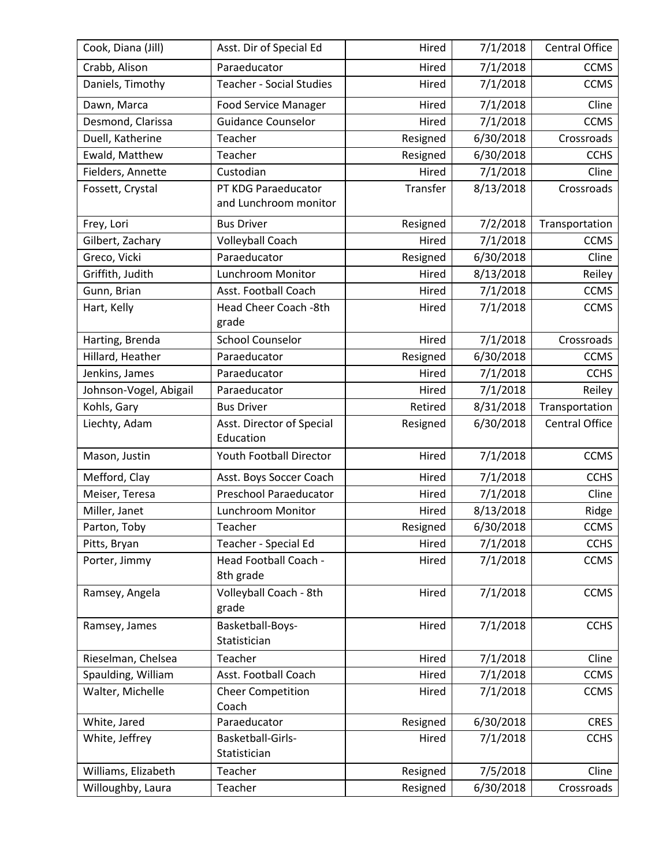| Cook, Diana (Jill)     | Asst. Dir of Special Ed                      | Hired                               | Central Office |                |  |  |
|------------------------|----------------------------------------------|-------------------------------------|----------------|----------------|--|--|
| Crabb, Alison          | Paraeducator                                 | Hired                               | 7/1/2018       |                |  |  |
| Daniels, Timothy       | <b>Teacher - Social Studies</b>              | 7/1/2018<br>Hired                   |                |                |  |  |
| Dawn, Marca            | <b>Food Service Manager</b>                  | Hired                               | 7/1/2018       | Cline          |  |  |
| Desmond, Clarissa      | <b>Guidance Counselor</b>                    | Hired                               | 7/1/2018       | <b>CCMS</b>    |  |  |
| Duell, Katherine       | Teacher                                      | Resigned                            | 6/30/2018      | Crossroads     |  |  |
| Ewald, Matthew         | Teacher                                      | Resigned                            | 6/30/2018      | <b>CCHS</b>    |  |  |
| Fielders, Annette      | Custodian                                    | Hired                               | 7/1/2018       | Cline          |  |  |
| Fossett, Crystal       | PT KDG Paraeducator<br>and Lunchroom monitor | Transfer                            | 8/13/2018      | Crossroads     |  |  |
| Frey, Lori             | <b>Bus Driver</b>                            | Resigned                            | 7/2/2018       | Transportation |  |  |
| Gilbert, Zachary       | Volleyball Coach                             | Hired                               | 7/1/2018       | <b>CCMS</b>    |  |  |
| Greco, Vicki           | Paraeducator                                 | Resigned                            | 6/30/2018      | Cline          |  |  |
| Griffith, Judith       | Lunchroom Monitor                            | Hired                               | 8/13/2018      | Reiley         |  |  |
| Gunn, Brian            | Asst. Football Coach                         | Hired                               | 7/1/2018       | <b>CCMS</b>    |  |  |
| Hart, Kelly            | Head Cheer Coach -8th<br>grade               | Hired                               | 7/1/2018       | <b>CCMS</b>    |  |  |
| Harting, Brenda        | <b>School Counselor</b>                      | Hired                               | 7/1/2018       | Crossroads     |  |  |
| Hillard, Heather       | Paraeducator                                 | Resigned                            | 6/30/2018      | <b>CCMS</b>    |  |  |
| Jenkins, James         | Paraeducator                                 | Hired                               | 7/1/2018       | <b>CCHS</b>    |  |  |
| Johnson-Vogel, Abigail | Paraeducator                                 | Hired                               | 7/1/2018       | Reiley         |  |  |
| Kohls, Gary            | <b>Bus Driver</b>                            | Retired                             | 8/31/2018      | Transportation |  |  |
| Liechty, Adam          | Asst. Director of Special<br>Education       | Resigned                            | 6/30/2018      | Central Office |  |  |
| Mason, Justin          | Youth Football Director                      | Hired                               | 7/1/2018       | <b>CCMS</b>    |  |  |
| Mefford, Clay          | Asst. Boys Soccer Coach                      | Hired                               | 7/1/2018       | <b>CCHS</b>    |  |  |
| Meiser, Teresa         | Preschool Paraeducator                       | Hired                               | 7/1/2018       | Cline          |  |  |
| Miller, Janet          | Lunchroom Monitor                            | Hired                               | 8/13/2018      | Ridge          |  |  |
| Parton, Toby           | Teacher                                      | Resigned                            | 6/30/2018      | <b>CCMS</b>    |  |  |
| Pitts, Bryan           | Teacher - Special Ed                         | Hired                               | 7/1/2018       | <b>CCHS</b>    |  |  |
| Porter, Jimmy          | Head Football Coach -<br>8th grade           | Hired<br>7/1/2018                   |                | <b>CCMS</b>    |  |  |
| Ramsey, Angela         | Volleyball Coach - 8th<br>grade              | Hired                               | 7/1/2018       | <b>CCMS</b>    |  |  |
| Ramsey, James          | Basketball-Boys-<br>Statistician             | 7/1/2018<br>Hired                   |                | <b>CCHS</b>    |  |  |
| Rieselman, Chelsea     | Teacher                                      | Hired                               | 7/1/2018       | Cline          |  |  |
| Spaulding, William     | Asst. Football Coach                         | Hired                               | 7/1/2018       | <b>CCMS</b>    |  |  |
| Walter, Michelle       | <b>Cheer Competition</b><br>Coach            | Hired                               | 7/1/2018       | <b>CCMS</b>    |  |  |
| White, Jared           | Paraeducator                                 | Resigned                            | 6/30/2018      | <b>CRES</b>    |  |  |
| White, Jeffrey         | Basketball-Girls-<br>Statistician            | 7/1/2018<br>Hired                   |                | <b>CCHS</b>    |  |  |
| Williams, Elizabeth    | Teacher                                      | Resigned                            | 7/5/2018       | Cline          |  |  |
| Willoughby, Laura      | Teacher                                      | Resigned<br>6/30/2018<br>Crossroads |                |                |  |  |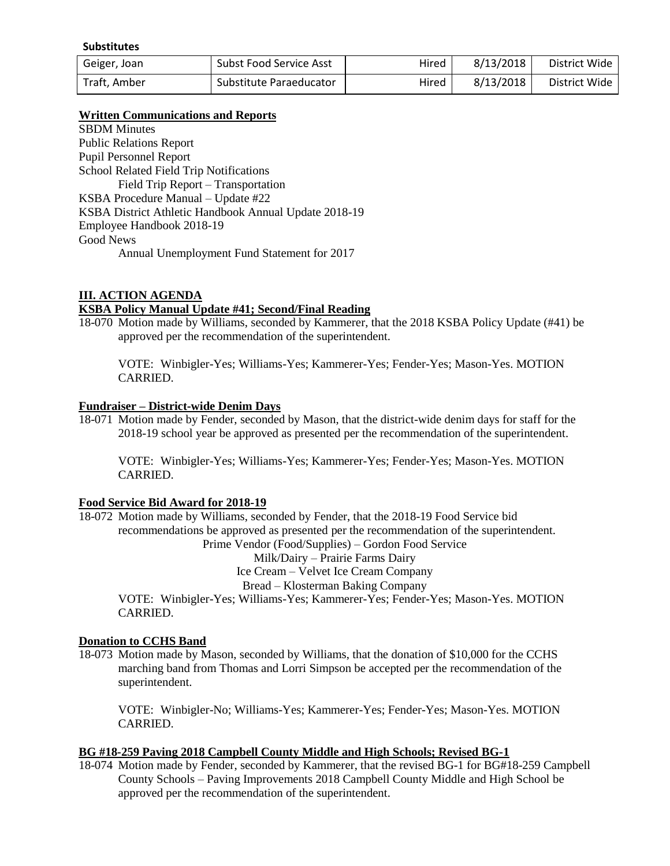#### **Substitutes**

| Geiger, Joan | Subst Food Service Asst | Hired | 8/13/2018 | District Wide |
|--------------|-------------------------|-------|-----------|---------------|
| Traft. Amber | Substitute Paraeducator | Hired | 8/13/2018 | District Wide |

### **Written Communications and Reports**

SBDM Minutes Public Relations Report Pupil Personnel Report School Related Field Trip Notifications Field Trip Report – Transportation KSBA Procedure Manual – Update #22 KSBA District Athletic Handbook Annual Update 2018-19 Employee Handbook 2018-19 Good News Annual Unemployment Fund Statement for 2017

## **III. ACTION AGENDA**

## **KSBA Policy Manual Update #41; Second/Final Reading**

18-070 Motion made by Williams, seconded by Kammerer, that the 2018 KSBA Policy Update (#41) be approved per the recommendation of the superintendent.

VOTE: Winbigler-Yes; Williams-Yes; Kammerer-Yes; Fender-Yes; Mason-Yes. MOTION CARRIED.

### **Fundraiser – District-wide Denim Days**

18-071 Motion made by Fender, seconded by Mason, that the district-wide denim days for staff for the 2018-19 school year be approved as presented per the recommendation of the superintendent.

VOTE: Winbigler-Yes; Williams-Yes; Kammerer-Yes; Fender-Yes; Mason-Yes. MOTION CARRIED.

# **Food Service Bid Award for 2018-19**

18-072 Motion made by Williams, seconded by Fender, that the 2018-19 Food Service bid recommendations be approved as presented per the recommendation of the superintendent. Prime Vendor (Food/Supplies) – Gordon Food Service

Milk/Dairy – Prairie Farms Dairy

Ice Cream – Velvet Ice Cream Company

Bread – Klosterman Baking Company

VOTE: Winbigler-Yes; Williams-Yes; Kammerer-Yes; Fender-Yes; Mason-Yes. MOTION CARRIED.

### **Donation to CCHS Band**

18-073 Motion made by Mason, seconded by Williams, that the donation of \$10,000 for the CCHS marching band from Thomas and Lorri Simpson be accepted per the recommendation of the superintendent.

VOTE: Winbigler-No; Williams-Yes; Kammerer-Yes; Fender-Yes; Mason-Yes. MOTION CARRIED.

## **BG #18-259 Paving 2018 Campbell County Middle and High Schools; Revised BG-1**

18-074 Motion made by Fender, seconded by Kammerer, that the revised BG-1 for BG#18-259 Campbell County Schools – Paving Improvements 2018 Campbell County Middle and High School be approved per the recommendation of the superintendent.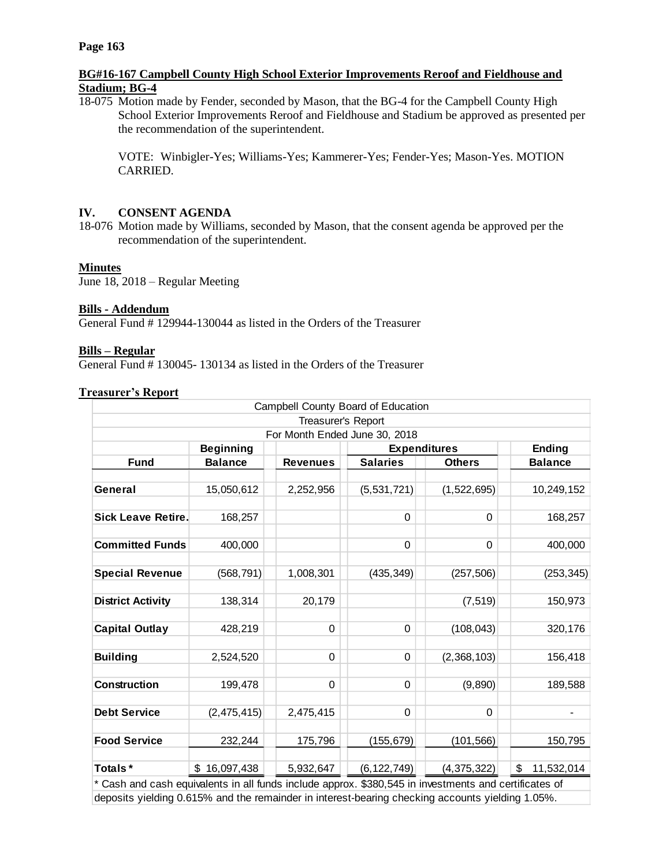## **BG#16-167 Campbell County High School Exterior Improvements Reroof and Fieldhouse and Stadium; BG-4**

18-075 Motion made by Fender, seconded by Mason, that the BG-4 for the Campbell County High School Exterior Improvements Reroof and Fieldhouse and Stadium be approved as presented per the recommendation of the superintendent.

VOTE: Winbigler-Yes; Williams-Yes; Kammerer-Yes; Fender-Yes; Mason-Yes. MOTION CARRIED.

# **IV. CONSENT AGENDA**

18-076 Motion made by Williams, seconded by Mason, that the consent agenda be approved per the recommendation of the superintendent.

# **Minutes**

June 18, 2018 – Regular Meeting

## **Bills - Addendum**

General Fund # 129944-130044 as listed in the Orders of the Treasurer

### **Bills – Regular**

General Fund # 130045- 130134 as listed in the Orders of the Treasurer

## **Treasurer's Report**

| Campbell County Board of Education |                  |                 |                     |               |                  |
|------------------------------------|------------------|-----------------|---------------------|---------------|------------------|
| Treasurer's Report                 |                  |                 |                     |               |                  |
| For Month Ended June 30, 2018      |                  |                 |                     |               |                  |
|                                    | <b>Beginning</b> |                 | <b>Expenditures</b> |               | <b>Ending</b>    |
| <b>Fund</b>                        | <b>Balance</b>   | <b>Revenues</b> | <b>Salaries</b>     | <b>Others</b> | <b>Balance</b>   |
|                                    |                  |                 |                     |               |                  |
| General                            | 15,050,612       | 2,252,956       | (5,531,721)         | (1,522,695)   | 10,249,152       |
|                                    |                  |                 |                     |               |                  |
| <b>Sick Leave Retire.</b>          | 168,257          |                 | 0                   | 0             | 168,257          |
|                                    |                  |                 |                     |               |                  |
| <b>Committed Funds</b>             | 400,000          |                 | 0                   | 0             | 400,000          |
|                                    |                  |                 |                     |               |                  |
| <b>Special Revenue</b>             | (568, 791)       | 1,008,301       | (435, 349)          | (257, 506)    | (253, 345)       |
|                                    |                  |                 |                     |               |                  |
| <b>District Activity</b>           | 138,314          | 20,179          |                     | (7, 519)      | 150,973          |
|                                    |                  |                 |                     |               |                  |
| <b>Capital Outlay</b>              | 428,219          | $\pmb{0}$       | $\mathbf 0$         | (108, 043)    | 320,176          |
|                                    |                  |                 |                     |               |                  |
| <b>Building</b>                    | 2,524,520        | 0               | 0                   | (2,368,103)   | 156,418          |
|                                    |                  |                 |                     |               |                  |
| <b>Construction</b>                | 199,478          | 0               | $\mathbf 0$         | (9,890)       | 189,588          |
|                                    |                  |                 |                     |               |                  |
| <b>Debt Service</b>                | (2,475,415)      | 2,475,415       | 0                   | $\Omega$      |                  |
|                                    |                  |                 |                     |               |                  |
| <b>Food Service</b>                | 232,244          | 175,796         | (155, 679)          | (101, 566)    | 150,795          |
|                                    |                  |                 |                     |               |                  |
| Totals*                            | \$16,097,438     | 5,932,647       | (6, 122, 749)       | (4,375,322)   | \$<br>11,532,014 |
|                                    |                  |                 |                     |               |                  |

\* Cash and cash equivalents in all funds include approx. \$380,545 in investments and certificates of deposits yielding 0.615% and the remainder in interest-bearing checking accounts yielding 1.05%.